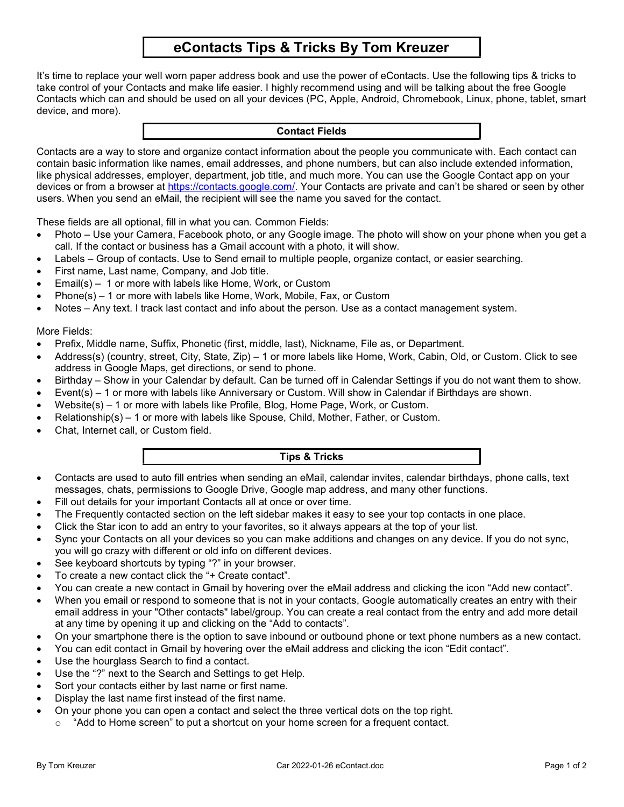# eContacts Tips & Tricks By Tom Kreuzer

It's time to replace your well worn paper address book and use the power of eContacts. Use the following tips & tricks to take control of your Contacts and make life easier. I highly recommend using and will be talking about the free Google Contacts which can and should be used on all your devices (PC, Apple, Android, Chromebook, Linux, phone, tablet, smart device, and more).

### Contact Fields

Contacts are a way to store and organize contact information about the people you communicate with. Each contact can contain basic information like names, email addresses, and phone numbers, but can also include extended information, like physical addresses, employer, department, job title, and much more. You can use the Google Contact app on your devices or from a browser at https://contacts.google.com/. Your Contacts are private and can't be shared or seen by other users. When you send an eMail, the recipient will see the name you saved for the contact.

These fields are all optional, fill in what you can. Common Fields:

- Photo Use your Camera, Facebook photo, or any Google image. The photo will show on your phone when you get a call. If the contact or business has a Gmail account with a photo, it will show.
- Labels Group of contacts. Use to Send email to multiple people, organize contact, or easier searching.
- First name, Last name, Company, and Job title.
- Email(s) 1 or more with labels like Home, Work, or Custom
- Phone(s) 1 or more with labels like Home, Work, Mobile, Fax, or Custom
- Notes Any text. I track last contact and info about the person. Use as a contact management system.

### More Fields:

- Prefix, Middle name, Suffix, Phonetic (first, middle, last), Nickname, File as, or Department.
- Address(s) (country, street, City, State, Zip) 1 or more labels like Home, Work, Cabin, Old, or Custom. Click to see address in Google Maps, get directions, or send to phone.
- Birthday Show in your Calendar by default. Can be turned off in Calendar Settings if you do not want them to show.
- Event(s) 1 or more with labels like Anniversary or Custom. Will show in Calendar if Birthdays are shown.
- Website(s) 1 or more with labels like Profile, Blog, Home Page, Work, or Custom.
- Relationship(s) 1 or more with labels like Spouse, Child, Mother, Father, or Custom.
- Chat, Internet call, or Custom field.

### Tips & Tricks

- Contacts are used to auto fill entries when sending an eMail, calendar invites, calendar birthdays, phone calls, text messages, chats, permissions to Google Drive, Google map address, and many other functions.
- Fill out details for your important Contacts all at once or over time.
- The Frequently contacted section on the left sidebar makes it easy to see your top contacts in one place.
- Click the Star icon to add an entry to your favorites, so it always appears at the top of your list.
- Sync your Contacts on all your devices so you can make additions and changes on any device. If you do not sync, you will go crazy with different or old info on different devices.
- See keyboard shortcuts by typing "?" in your browser.
- To create a new contact click the "+ Create contact".
- You can create a new contact in Gmail by hovering over the eMail address and clicking the icon "Add new contact".
- When you email or respond to someone that is not in your contacts, Google automatically creates an entry with their email address in your "Other contacts" label/group. You can create a real contact from the entry and add more detail at any time by opening it up and clicking on the "Add to contacts".
- On your smartphone there is the option to save inbound or outbound phone or text phone numbers as a new contact.
- You can edit contact in Gmail by hovering over the eMail address and clicking the icon "Edit contact".
- Use the hourglass Search to find a contact.
- Use the "?" next to the Search and Settings to get Help.
- Sort your contacts either by last name or first name.
- Display the last name first instead of the first name.
- On your phone you can open a contact and select the three vertical dots on the top right.
	- "Add to Home screen" to put a shortcut on your home screen for a frequent contact.